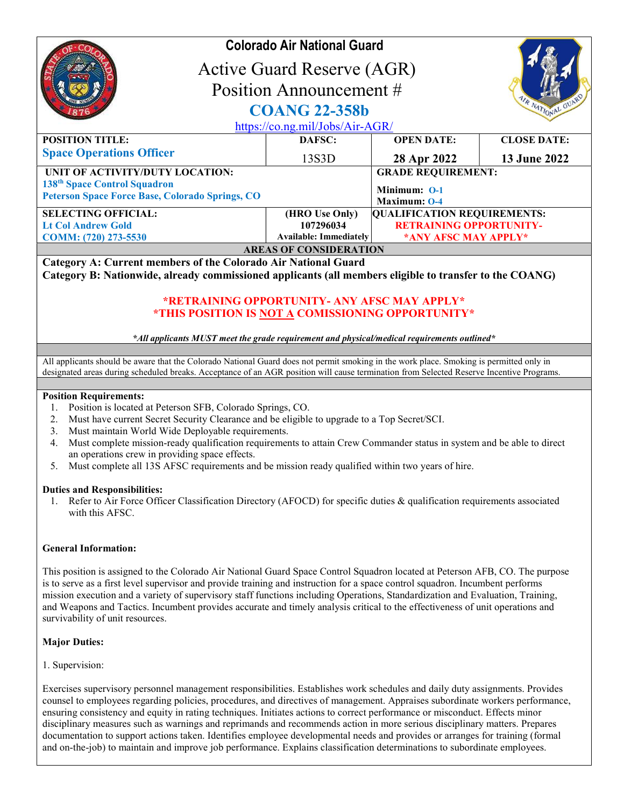|                                                                                                                                       | <b>Colorado Air National Guard</b><br><b>Active Guard Reserve (AGR)</b><br>Position Announcement #<br><b>COANG 22-358b</b><br>https://co.ng.mil/Jobs/Air-AGR/ |                                                           |                     |  |
|---------------------------------------------------------------------------------------------------------------------------------------|---------------------------------------------------------------------------------------------------------------------------------------------------------------|-----------------------------------------------------------|---------------------|--|
| <b>POSITION TITLE:</b>                                                                                                                | DAFSC:                                                                                                                                                        | <b>OPEN DATE:</b>                                         | <b>CLOSE DATE:</b>  |  |
| <b>Space Operations Officer</b>                                                                                                       | 13S3D                                                                                                                                                         | 28 Apr 2022                                               | <b>13 June 2022</b> |  |
| UNIT OF ACTIVITY/DUTY LOCATION:<br>138 <sup>th</sup> Space Control Squadron<br><b>Peterson Space Force Base, Colorado Springs, CO</b> |                                                                                                                                                               | <b>GRADE REQUIREMENT:</b><br>Minimum: 0-1<br>Maximum: 0-4 |                     |  |
| <b>SELECTING OFFICIAL:</b>                                                                                                            | (HRO Use Only)                                                                                                                                                | <b>QUALIFICATION REQUIREMENTS:</b>                        |                     |  |
| <b>Lt Col Andrew Gold</b>                                                                                                             | 107296034                                                                                                                                                     | <b>RETRAINING OPPORTUNITY-</b>                            |                     |  |
| COMM: (720) 273-5530                                                                                                                  | Available: Immediately                                                                                                                                        | *ANY AFSC MAY APPLY*                                      |                     |  |
| <b>AREAS OF CONSIDERATION</b>                                                                                                         |                                                                                                                                                               |                                                           |                     |  |

Category A: Current members of the Colorado Air National Guard

Category B: Nationwide, already commissioned applicants (all members eligible to transfer to the COANG)

# \*RETRAINING OPPORTUNITY- ANY AFSC MAY APPLY\* \*THIS POSITION IS NOT A COMISSIONING OPPORTUNITY\*

### \*All applicants MUST meet the grade requirement and physical/medical requirements outlined\*

All applicants should be aware that the Colorado National Guard does not permit smoking in the work place. Smoking is permitted only in designated areas during scheduled breaks. Acceptance of an AGR position will cause termination from Selected Reserve Incentive Programs.

### Position Requirements:

- 1. Position is located at Peterson SFB, Colorado Springs, CO.
- 2. Must have current Secret Security Clearance and be eligible to upgrade to a Top Secret/SCI.
- 3. Must maintain World Wide Deployable requirements.
- 4. Must complete mission-ready qualification requirements to attain Crew Commander status in system and be able to direct an operations crew in providing space effects.
- 5. Must complete all 13S AFSC requirements and be mission ready qualified within two years of hire.

### Duties and Responsibilities:

1. Refer to Air Force Officer Classification Directory (AFOCD) for specific duties & qualification requirements associated with this AFSC.

## General Information:

This position is assigned to the Colorado Air National Guard Space Control Squadron located at Peterson AFB, CO. The purpose is to serve as a first level supervisor and provide training and instruction for a space control squadron. Incumbent performs mission execution and a variety of supervisory staff functions including Operations, Standardization and Evaluation, Training, and Weapons and Tactics. Incumbent provides accurate and timely analysis critical to the effectiveness of unit operations and survivability of unit resources.

## Major Duties:

## 1. Supervision:

Exercises supervisory personnel management responsibilities. Establishes work schedules and daily duty assignments. Provides counsel to employees regarding policies, procedures, and directives of management. Appraises subordinate workers performance, ensuring consistency and equity in rating techniques. Initiates actions to correct performance or misconduct. Effects minor disciplinary measures such as warnings and reprimands and recommends action in more serious disciplinary matters. Prepares documentation to support actions taken. Identifies employee developmental needs and provides or arranges for training (formal and on-the-job) to maintain and improve job performance. Explains classification determinations to subordinate employees.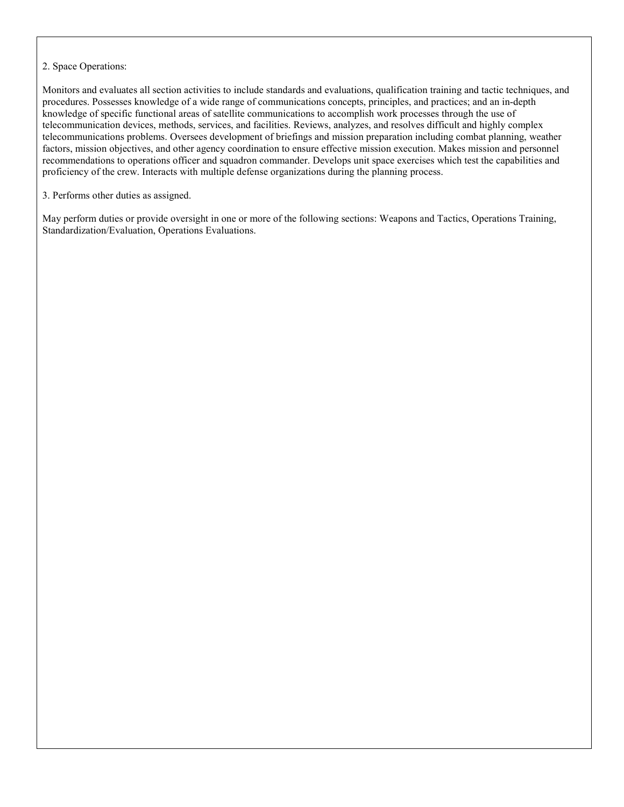2. Space Operations:

Monitors and evaluates all section activities to include standards and evaluations, qualification training and tactic techniques, and procedures. Possesses knowledge of a wide range of communications concepts, principles, and practices; and an in-depth knowledge of specific functional areas of satellite communications to accomplish work processes through the use of telecommunication devices, methods, services, and facilities. Reviews, analyzes, and resolves difficult and highly complex telecommunications problems. Oversees development of briefings and mission preparation including combat planning, weather factors, mission objectives, and other agency coordination to ensure effective mission execution. Makes mission and personnel recommendations to operations officer and squadron commander. Develops unit space exercises which test the capabilities and proficiency of the crew. Interacts with multiple defense organizations during the planning process.

3. Performs other duties as assigned.

May perform duties or provide oversight in one or more of the following sections: Weapons and Tactics, Operations Training, Standardization/Evaluation, Operations Evaluations.